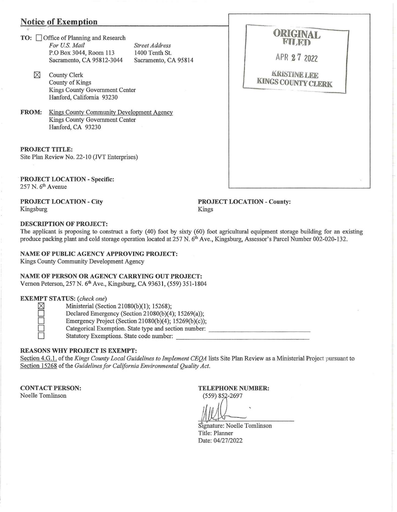# **Notice of Exemption**

**TO:**  $\Box$  Office of Planning and Research For U.S. Mail P.O Box 3044, Room 113 Sacramento, CA 95812-3044 Sacramento, CA 95814

*Street Address*<br>1400 Tenth St.

- $\boxtimes$  County Clerk County of Kings Kings County Government Center Hanford, California 93230
- FROM: Kings County Community Development Agency Kings County Government Center Hanford, CA 93230

#### PROJECT TITLE:

Site Plan Review No. 22-10 (NT Enterprises)

. PROJECT LOCATION - Specific: 257 N. 6<sup>th</sup> Avenue

PROJECT LOCATION- City Kingsburg

PROJECT LOCATION- County: Kings

### DESCRIPTION OF PROJECT:

The applicant is proposing to construct a forty (40) foot by sixty (60) foot agricultural equipment storage building for an existing produce packing plant and cold storage operation located at 257 N. 6<sup>th</sup> Ave., Kingsburg, Assessor's Parcel Number 002-020-132.

NAME OF PUBLIC AGENCY APPROVING PROJECT:

Kings County Community Development Agency

#### NAME OF PERSON OR AGENCY CARRYING OUT PROJECT:

Vernon Peterson, 257 N. 6th Ave., Kingsburg, CA 93631, (559) 351-1804

#### EXEMPT STATUS: *(check one)*

Ministerial (Section 21080(b)(1); 15268);

Declared Emergency (Section 21080(b)(4); 15269(a));

Emergency Project (Section 21080(b)(4);  $15269(b)(c)$ ;

0 Categorical Exemption. State type and section number: ------------------------- 0 Statutory Exemptions. State code number: ---------------------------------

### REASONS WHY PROJECT IS EXEMPT:

Section 4.G.1. of the *Kings County Local Guidelines to Implement CEQA* lists Site Plan Review as a Ministerial Project pursuant to Section 15268 of the *Guidelines for California Environmental Quality Act.* 

CONTACT PERSON: Noelle Tomlinson

TELEPHONE NUMBER:

(559) 852-2697

Signature: Noelle Tomlinson Title: Planner Date: 04/27/2022